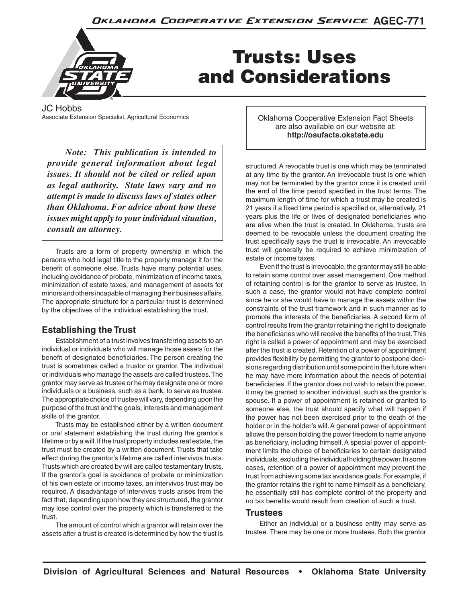

# Trusts: Uses and Considerations

JC Hobbs<br>Associate Extension Specialist, Agricultural Economics

*Note: This publication is intended to provide general information about legal issues. It should not be cited or relied upon as legal authority. State laws vary and no attempt is made to discuss laws of states other than Oklahoma. For advice about how these issues might apply to your individual situation, consult an attorney.*

Trusts are a form of property ownership in which the persons who hold legal title to the property manage it for the benefit of someone else. Trusts have many potential uses, including avoidance of probate, minimization of income taxes, minimization of estate taxes, and management of assets for minors and others incapable of managing their business affairs. The appropriate structure for a particular trust is determined by the objectives of the individual establishing the trust.

# **Establishing the Trust**

Establishment of a trust involves transferring assets to an individual or individuals who will manage those assets for the benefit of designated beneficiaries. The person creating the trust is sometimes called a trustor or grantor. The individual or individuals who manage the assets are called trustees. The grantor may serve as trustee or he may designate one or more individuals or a business, such as a bank, to serve as trustee. The appropriate choice of trustee will vary, depending upon the purpose of the trust and the goals, interests and management skills of the grantor.

Trusts may be established either by a written document or oral statement establishing the trust during the grantor's lifetime or by a will. If the trust property includes real estate, the trust must be created by a written document. Trusts that take effect during the grantor's lifetime are called intervivos trusts. Trusts which are created by will are called testamentary trusts. If the grantor's goal is avoidance of probate or minimization of his own estate or income taxes, an intervivos trust may be required. A disadvantage of intervivos trusts arises from the fact that, depending upon how they are structured, the grantor may lose control over the property which is transferred to the trust.

The amount of control which a grantor will retain over the assets after a trust is created is determined by how the trust is **Oklahoma Cooperative Extension Fact Sheets** are also available on our website at: **http://osufacts.okstate.edu**

structured. A revocable trust is one which may be terminated at any time by the grantor. An irrevocable trust is one which may not be terminated by the grantor once it is created until the end of the time period specified in the trust terms. The maximum length of time for which a trust may be created is 21 years if a fixed time period is specified or, alternatively, 21 years plus the life or lives of designated beneficiaries who are alive when the trust is created. In Oklahoma, trusts are deemed to be revocable unless the document creating the trust specifically says the trust is irrevocable. An irrevocable trust will generally be required to achieve minimization of estate or income taxes.

Even if the trust is irrevocable, the grantor may still be able to retain some control over asset management. One method of retaining control is for the grantor to serve as trustee. In such a case, the grantor would not have complete control since he or she would have to manage the assets within the constraints of the trust framework and in such manner as to promote the interests of the beneficiaries. A second form of control results from the grantor retaining the right to designate the beneficiaries who will receive the benefits of the trust. This right is called a power of appointment and may be exercised after the trust is created. Retention of a power of appointment provides flexibility by permitting the grantor to postpone decisions regarding distribution until some point in the future when he may have more information about the needs of potential beneficiaries. If the grantor does not wish to retain the power, it may be granted to another individual, such as the grantor's spouse. If a power of appointment is retained or granted to someone else, the trust should specify what will happen if the power has not been exercised prior to the death of the holder or in the holder's will. A general power of appointment allows the person holding the power freedom to name anyone as beneficiary, including himself. A special power of appointment limits the choice of beneficiaries to certain designated individuals, excluding the individual holding the power. In some cases, retention of a power of appointment may prevent the trust from achieving some tax avoidance goals. For example, if the grantor retains the right to name himself as a beneficiary, he essentially still has complete control of the property and no tax benefits would result from creation of such a trust.

#### **Trustees**

Either an individual or a business entity may serve as trustee. There may be one or more trustees. Both the grantor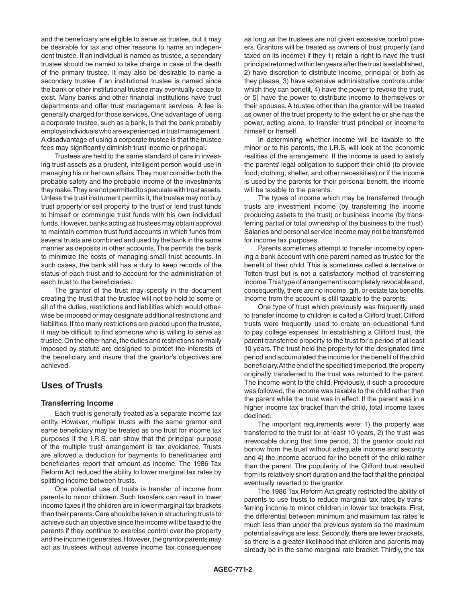and the beneficiary are eligible to serve as trustee, but it may be desirable for tax and other reasons to name an independent trustee. If an individual is named as trustee, a secondary trustee should be named to take charge in case of the death of the primary trustee. It may also be desirable to name a secondary trustee if an institutional trustee is named since the bank or other institutional trustee may eventually cease to exist. Many banks and other financial institutions have trust departments and offer trust management services. A fee is generally charged for those services. One advantage of using a corporate trustee, such as a bank, is that the bank probably employs individuals who are experienced in trust management. A disadvantage of using a corporate trustee is that the trustee fees may significantly diminish trust income or principal.

Trustees are held to the same standard of care in investing trust assets as a prudent, intelligent person would use in managing his or her own affairs. They must consider both the probable safety and the probable income of the investments they make. They are not permitted to speculate with trust assets. Unless the trust instrument permits it, the trustee may not buy trust property or sell property to the trust or lend trust funds to himself or commingle trust funds with his own individual funds. However, banks acting as trustees may obtain approval to maintain common trust fund accounts in which funds from several trusts are combined and used by the bank in the same manner as deposits in other accounts. This permits the bank to minimize the costs of managing small trust accounts. In such cases, the bank still has a duty to keep records of the status of each trust and to account for the administration of each trust to the beneficiaries.

The grantor of the trust may specify in the document creating the trust that the trustee will not be held to some or all of the duties, restrictions and liabilities which would otherwise be imposed or may designate additional restrictions and liabilities. If too many restrictions are placed upon the trustee, it may be difficult to find someone who is willing to serve as trustee. On the other hand, the duties and restrictions normally imposed by statute are designed to protect the interests of the beneficiary and insure that the grantor's objectives are achieved.

#### **Uses of Trusts**

#### **Transferring Income**

Each trust is generally treated as a separate income tax entity. However, multiple trusts with the same grantor and same beneficiary may be treated as one trust for income tax purposes if the I.R.S. can show that the principal purpose of the multiple trust arrangement is tax avoidance. Trusts are allowed a deduction for payments to beneficiaries and beneficiaries report that amount as income. The 1986 Tax Reform Act reduced the ability to lower marginal tax rates by splitting income between trusts.

One potential use of trusts is transfer of income from parents to minor children. Such transfers can result in lower income taxes if the children are in lower marginal tax brackets than their parents. Care should be taken in structuring trusts to achieve such an objective since the income will be taxed to the parents if they continue to exercise control over the property and the income it generates. However, the grantor parents may act as trustees without adverse income tax consequences

as long as the trustees are not given excessive control powers. Grantors will be treated as owners of trust property (and taxed on its income) if they 1) retain a right to have the trust principal returned within ten years after the trust is established, 2) have discretion to distribute income, principal or both as they please, 3) have extensive administrative controls under which they can benefit, 4) have the power to revoke the trust, or 5) have the power to distribute income to themselves or their spouses. A trustee other than the grantor will be treated as owner of the trust property to the extent he or she has the power, acting alone, to transfer trust principal or income to himself or herself.

In determining whether income will be taxable to the minor or to his parents, the I.R.S. will look at the economic realities of the arrangement. If the income is used to satisfy the parents' legal obligation to support their child (to provide food, clothing, shelter, and other necessities) or if the income is used by the parents for their personal benefit, the income will be taxable to the parents.

The types of income which may be transferred through trusts are investment income (by transferring the income producing assets to the trust) or business income (by transferring partial or total ownership of the business to the trust). Salaries and personal service income may not be transferred for income tax purposes.

Parents sometimes attempt to transfer income by opening a bank account with one parent named as trustee for the benefit of their child. This is sometimes called a tentative or Totten trust but is not a satisfactory method of transferring income. This type of arrangement is completely revocable and, consequently, there are no income, gift, or estate tax benefits. Income from the account is still taxable to the parents.

One type of trust which previously was frequently used to transfer income to children is called a Clifford trust. Clifford trusts were frequently used to create an educational fund to pay college expenses. In establishing a Clifford trust, the parent transferred property to the trust for a period of at least 10 years. The trust held the property for the designated time period and accumulated the income for the benefit of the child beneficiary. At the end of the specified time period, the property originally transferred to the trust was returned to the parent. The income went to the child. Previously, if such a procedure was followed, the income was taxable to the child rather than the parent while the trust was in effect. If the parent was in a higher income tax bracket than the child, total income taxes declined.

The important requirements were: 1) the property was transferred to the trust for at least 10 years, 2) the trust was irrevocable during that time period, 3) the grantor could not borrow from the trust without adequate income and security and 4) the income accrued for the benefit of the child rather than the parent. The popularity of the Clifford trust resulted from its relatively short duration and the fact that the principal eventually reverted to the grantor.

The 1986 Tax Reform Act greatly restricted the ability of parents to use trusts to reduce marginal tax rates by transferring income to minor children in lower tax brackets. First, the differential between minimum and maximum tax rates is much less than under the previous system so the maximum potential savings are less. Secondly, there are fewer brackets, so there is a greater likelihood that children and parents may already be in the same marginal rate bracket. Thirdly, the tax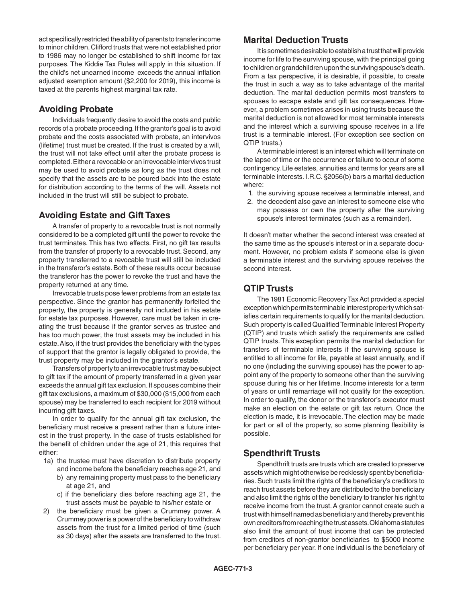act specifically restricted the ability of parents to transfer income to minor children. Clifford trusts that were not established prior to 1986 may no longer be established to shift income for tax purposes. The Kiddie Tax Rules will apply in this situation. If the child's net unearned income exceeds the annual inflation adjusted exemption amount (\$2,200 for 2019), this income is taxed at the parents highest marginal tax rate.

# **Avoiding Probate**

Individuals frequently desire to avoid the costs and public records of a probate proceeding. If the grantor's goal is to avoid probate and the costs associated with probate, an intervivos (lifetime) trust must be created. If the trust is created by a will, the trust will not take effect until after the probate process is completed. Either a revocable or an irrevocable intervivos trust may be used to avoid probate as long as the trust does not specify that the assets are to be poured back into the estate for distribution according to the terms of the will. Assets not included in the trust will still be subject to probate.

# **Avoiding Estate and Gift Taxes**

A transfer of property to a revocable trust is not normally considered to be a completed gift until the power to revoke the trust terminates. This has two effects. First, no gift tax results from the transfer of property to a revocable trust. Second, any property transferred to a revocable trust will still be included in the transferor's estate. Both of these results occur because the transferor has the power to revoke the trust and have the property returned at any time.

Irrevocable trusts pose fewer problems from an estate tax perspective. Since the grantor has permanently forfeited the property, the property is generally not included in his estate for estate tax purposes. However, care must be taken in creating the trust because if the grantor serves as trustee and has too much power, the trust assets may be included in his estate. Also, if the trust provides the beneficiary with the types of support that the grantor is legally obligated to provide, the trust property may be included in the grantor's estate.

Transfers of property to an irrevocable trust may be subject to gift tax if the amount of property transferred in a given year exceeds the annual gift tax exclusion. If spouses combine their gift tax exclusions, a maximum of \$30,000 (\$15,000 from each spouse) may be transferred to each recipient for 2019 without incurring gift taxes.

In order to qualify for the annual gift tax exclusion, the beneficiary must receive a present rather than a future interest in the trust property. In the case of trusts established for the benefit of children under the age of 21, this requires that either:

- 1a) the trustee must have discretion to distribute property and income before the beneficiary reaches age 21, and b) any remaining property must pass to the beneficiary at age 21, and
	- c) if the beneficiary dies before reaching age 21, the trust assets must be payable to his/her estate or
- 2) the beneficiary must be given a Crummey power. A Crummey power is a power of the beneficiary to withdraw assets from the trust for a limited period of time (such as 30 days) after the assets are transferred to the trust.

# **Marital Deduction Trusts**

It is sometimes desirable to establish a trust that will provide income for life to the surviving spouse, with the principal going to children or grandchildren upon the surviving spouse's death. From a tax perspective, it is desirable, if possible, to create the trust in such a way as to take advantage of the marital deduction. The marital deduction permits most transfers to spouses to escape estate and gift tax consequences. However, a problem sometimes arises in using trusts because the marital deduction is not allowed for most terminable interests and the interest which a surviving spouse receives in a life trust is a terminable interest. (For exception see section on QTIP trusts.)

A terminable interest is an interest which will terminate on the lapse of time or the occurrence or failure to occur of some contingency. Life estates, annuities and terms for years are all terminable interests. I.R.C. §2056(b) bars a marital deduction where:

- 1. the surviving spouse receives a terminable interest, and
- 2. the decedent also gave an interest to someone else who may possess or own the property after the surviving spouse's interest terminates (such as a remainder).

It doesn't matter whether the second interest was created at the same time as the spouse's interest or in a separate document. However, no problem exists if someone else is given a terminable interest and the surviving spouse receives the second interest.

# **QTIP Trusts**

The 1981 Economic Recovery Tax Act provided a special exception which permits terminable interest property which satisfies certain requirements to qualify for the marital deduction. Such property is called Qualified Terminable Interest Property (QTIP) and trusts which satisfy the requirements are called QTIP trusts. This exception permits the marital deduction for transfers of terminable interests if the surviving spouse is entitled to all income for life, payable at least annually, and if no one (including the surviving spouse) has the power to appoint any of the property to someone other than the surviving spouse during his or her lifetime. Income interests for a term of years or until remarriage will not qualify for the exception. In order to qualify, the donor or the transferor's executor must make an election on the estate or gift tax return. Once the election is made, it is irrevocable. The election may be made for part or all of the property, so some planning flexibility is possible.

# **Spendthrift Trusts**

Spendthrift trusts are trusts which are created to preserve assets which might otherwise be recklessly spent by beneficiaries. Such trusts limit the rights of the beneficiary's creditors to reach trust assets before they are distributed to the beneficiary and also limit the rights of the beneficiary to transfer his right to receive income from the trust. A grantor cannot create such a trust with himself named as beneficiary and thereby prevent his own creditors from reaching the trust assets. Oklahoma statutes also limit the amount of trust income that can be protected from creditors of non-grantor beneficiaries to \$5000 income per beneficiary per year. If one individual is the beneficiary of